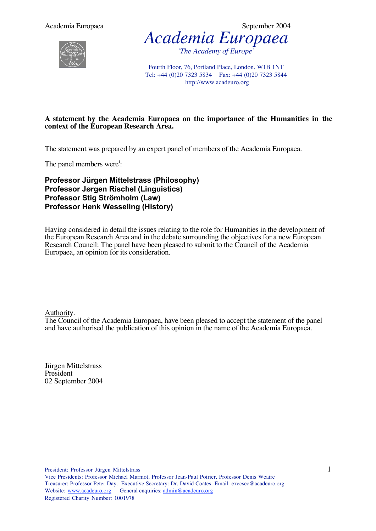Academia Europaea  $\sim$  September 2004





Fourth Floor, 76, Portland Place, London. W1B 1NT Tel: +44 (0)20 7323 5834 Fax: +44 (0)20 7323 5844 http://www.acadeuro.org

#### **A statement by the Academia Europaea on the importance of the Humanities in the context of the European Research Area.**

The statement was prepared by an expert panel of members of the Academia Europaea.

The panel members were<sup>i</sup>:

**Professor Jürgen Mittelstrass (Philosophy) Professor Jørgen Rischel (Linguistics) Professor Stig Strömholm (Law) Professor Henk Wesseling (History)**

Having considered in detail the issues relating to the role for Humanities in the development of the European Research Area and in the debate surrounding the objectives for a new European Research Council: The panel have been pleased to submit to the Council of the Academia Europaea, an opinion for its consideration.

Authority.

The Council of the Academia Europaea, have been pleased to accept the statement of the panel and have authorised the publication of this opinion in the name of the Academia Europaea.

Jürgen Mittelstrass President 02 September 2004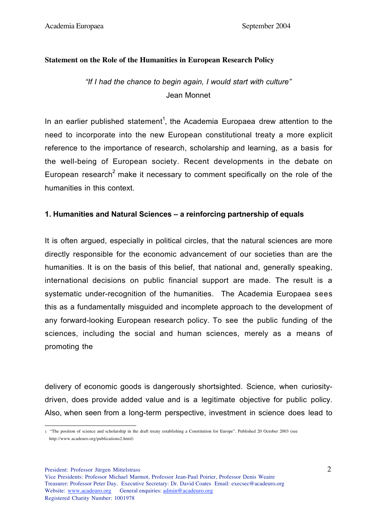#### **Statement on the Role of the Humanities in European Research Policy**

# *"If I had the chance to begin again, I would start with culture"* Jean Monnet

In an earlier published statement<sup>1</sup>, the Academia Europaea drew attention to the need to incorporate into the new European constitutional treaty a more explicit reference to the importance of research, scholarship and learning, as a basis for the well-being of European society. Recent developments in the debate on European research<sup>2</sup> make it necessary to comment specifically on the role of the humanities in this context.

# **1. Humanities and Natural Sciences – a reinforcing partnership of equals**

It is often argued, especially in political circles, that the natural sciences are more directly responsible for the economic advancement of our societies than are the humanities. It is on the basis of this belief, that national and, generally speaking, international decisions on public financial support are made. The result is a systematic under-recognition of the humanities. The Academia Europaea sees this as a fundamentally misguided and incomplete approach to the development of any forward-looking European research policy. To see the public funding of the sciences, including the social and human sciences, merely as a means of promoting the

delivery of economic goods is dangerously shortsighted. Science, when curiositydriven, does provide added value and is a legitimate objective for public policy. Also, when seen from a long-term perspective, investment in science does lead to

 <sup>1</sup> "The position of science and scholarship in the draft treaty establishing a Constitution for Europe". Published 20 October 2003 (see http://www.acadeuro.org/publications2.html)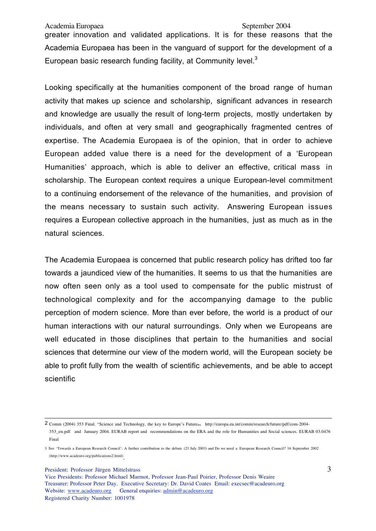Academia Europaea September 2004

greater innovation and validated applications. It is for these reasons that the Academia Europaea has been in the vanguard of support for the development of a European basic research funding facility, at Community level. $3$ 

Looking specifically at the humanities component of the broad range of human activity that makes up science and scholarship, significant advances in research and knowledge are usually the result of long-term projects, mostly undertaken by individuals, and often at very small and geographically fragmented centres of expertise. The Academia Europaea is of the opinion, that in order to achieve European added value there is a need for the development of a 'European Humanities' approach, which is able to deliver an effective, critical mass in scholarship. The European context requires a unique European-level commitment to a continuing endorsement of the relevance of the humanities, and provision of the means necessary to sustain such activity. Answering European issues requires a European collective approach in the humanities, just as much as in the natural sciences.

The Academia Europaea is concerned that public research policy has drifted too far towards a jaundiced view of the humanities. It seems to us that the humanities are now often seen only as a tool used to compensate for the public mistrust of technological complexity and for the accompanying damage to the public perception of modern science. More than ever before, the world is a product of our human interactions with our natural surroundings. Only when we Europeans are well educated in those disciplines that pertain to the humanities and social sciences that determine our view of the modern world, will the European society be able to profit fully from the wealth of scientific achievements, and be able to accept scientific

President: Professor Jürgen Mittelstrass

 $\overline{\phantom{a}}$ 2 Comm (2004) 353 Final. "Science and Technology, the key to Europe's Future, http://europa.eu.int/comm/research/future/pdf/com-2004-

<sup>353</sup>\_en.pdf and January 2004. EURAB report and recommendations on the ERA and the role for Humanities and Social sciences. EURAB 03.0476 Final

<sup>3</sup> See 'Towards a European Research Council': A further contribution to the debate (23 July 2003) and Do we need a European Research Council? 16 September 2002 (http://www.acadeuro.org/publications2.html).

Vice Presidents: Professor Michael Marmot, Professor Jean-Paul Poirier, Professor Denis Weaire Treasurer: Professor Peter Day. Executive Secretary: Dr. David Coates Email: execsec@acadeuro.org Website: www.acadeuro.org General enquiries: admin@acadeuro.org Registered Charity Number: 1001978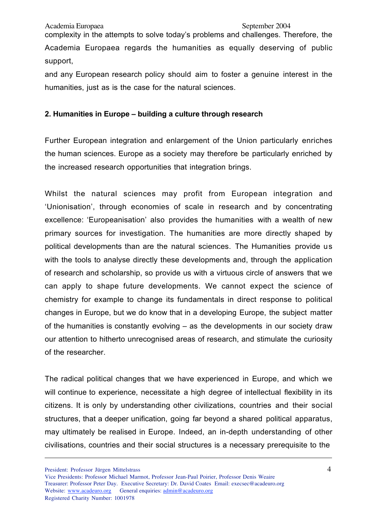complexity in the attempts to solve today's problems and challenges. Therefore, the Academia Europaea regards the humanities as equally deserving of public support,

and any European research policy should aim to foster a genuine interest in the humanities, just as is the case for the natural sciences.

# **2. Humanities in Europe – building a culture through research**

Further European integration and enlargement of the Union particularly enriches the human sciences. Europe as a society may therefore be particularly enriched by the increased research opportunities that integration brings.

Whilst the natural sciences may profit from European integration and 'Unionisation', through economies of scale in research and by concentrating excellence: 'Europeanisation' also provides the humanities with a wealth of new primary sources for investigation. The humanities are more directly shaped by political developments than are the natural sciences. The Humanities provide us with the tools to analyse directly these developments and, through the application of research and scholarship, so provide us with a virtuous circle of answers that we can apply to shape future developments. We cannot expect the science of chemistry for example to change its fundamentals in direct response to political changes in Europe, but we do know that in a developing Europe, the subject matter of the humanities is constantly evolving – as the developments in our society draw our attention to hitherto unrecognised areas of research, and stimulate the curiosity of the researcher.

The radical political changes that we have experienced in Europe, and which we will continue to experience, necessitate a high degree of intellectual flexibility in its citizens. It is only by understanding other civilizations, countries and their social structures, that a deeper unification, going far beyond a shared political apparatus, may ultimately be realised in Europe. Indeed, an in-depth understanding of other civilisations, countries and their social structures is a necessary prerequisite to the

President: Professor Jürgen Mittelstrass

 $\overline{a}$ 

Vice Presidents: Professor Michael Marmot, Professor Jean-Paul Poirier, Professor Denis Weaire Treasurer: Professor Peter Day. Executive Secretary: Dr. David Coates Email: execsec@acadeuro.org Website: www.acadeuro.org General enquiries: admin@acadeuro.org Registered Charity Number: 1001978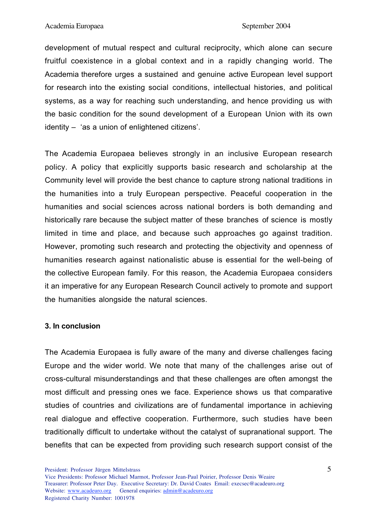development of mutual respect and cultural reciprocity, which alone can secure fruitful coexistence in a global context and in a rapidly changing world. The Academia therefore urges a sustained and genuine active European level support for research into the existing social conditions, intellectual histories, and political systems, as a way for reaching such understanding, and hence providing us with the basic condition for the sound development of a European Union with its own identity – 'as a union of enlightened citizens'.

The Academia Europaea believes strongly in an inclusive European research policy. A policy that explicitly supports basic research and scholarship at the Community level will provide the best chance to capture strong national traditions in the humanities into a truly European perspective. Peaceful cooperation in the humanities and social sciences across national borders is both demanding and historically rare because the subject matter of these branches of science is mostly limited in time and place, and because such approaches go against tradition. However, promoting such research and protecting the objectivity and openness of humanities research against nationalistic abuse is essential for the well-being of the collective European family. For this reason, the Academia Europaea considers it an imperative for any European Research Council actively to promote and support the humanities alongside the natural sciences.

# **3. In conclusion**

The Academia Europaea is fully aware of the many and diverse challenges facing Europe and the wider world. We note that many of the challenges arise out of cross-cultural misunderstandings and that these challenges are often amongst the most difficult and pressing ones we face. Experience shows us that comparative studies of countries and civilizations are of fundamental importance in achieving real dialogue and effective cooperation. Furthermore, such studies have been traditionally difficult to undertake without the catalyst of supranational support. The benefits that can be expected from providing such research support consist of the